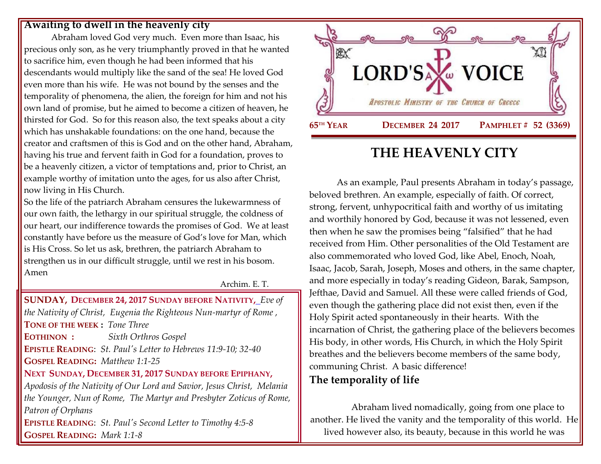#### **Awaiting to dwell in the heavenly city**

Abraham loved God very much. Even more than Isaac, his precious only son, as he very triumphantly proved in that he wanted to sacrifice him, even though he had been informed that his descendants would multiply like the sand of the sea! He loved God even more than his wife. He was not bound by the senses and the temporality of phenomena, the alien, the foreign for him and not his own land of promise, but he aimed to become a citizen of heaven, he thirsted for God. So for this reason also, the text speaks about a city which has unshakable foundations: on the one hand, because the creator and craftsmen of this is God and on the other hand, Abraham, having his true and fervent faith in God for a foundation, proves to be a heavenly citizen, a victor of temptations and, prior to Christ, an example worthy of imitation unto the ages, for us also after Christ, now living in His Church.

So the life of the patriarch Abraham censures the lukewarmness of our own faith, the lethargy in our spiritual struggle, the coldness of our heart, our indifference towards the promises of God. We at least constantly have before us the measure of God's love for Man, which is His Cross. So let us ask, brethren, the patriarch Abraham to strengthen us in our difficult struggle, until we rest in his bosom. Amen

Archim. E. T.

**SUNDAY, DECEMBER 24, 2017 SUNDAY BEFORE NATIVITY,** *Eve of the Nativity of Christ, [Eugenia the Righteous Nun-martyr of Rome](https://www.goarch.org/chapel/saints?contentid=351) ,* **TONE OF THE WEEK :** *Tone Three* **EOTHINON :** *Sixth Orthros Gospel* **EPISTLE READING**: *[St. Paul's Letter to Hebrews 11:9-10; 32-40](https://www.goarch.org/chapel/lectionary?type=epistle&code=27&event=940&date=5/28/2017)* **GOSPEL READING:** *[Matthew 1:1-25](https://www.goarch.org/chapel/lectionary?type=gospel&code=43&event=940&date=5/28/2017)* **NEXT SUNDAY, DECEMBER 31, 2017 S[UNDAY BEFORE](https://www.goarch.org/chapel/saints?contentid=1164&PCode=SBE&D=S&date=12/31/2017) EPIPHANY,**  *[Apodosis of the Nativity of Our Lord and Savior, Jesus Christ, M](https://www.goarch.org/chapel/saints?contentid=361)elania the Younger, Nun of Rome, The Martyr and Presbyter Zoticus of Rome, Patron of Orphans*  **EPISTLE READING**: *[St. Paul's Second Letter to Timothy 4:5-8](https://www.goarch.org/chapel/lectionary?type=epistle&code=27&event=940&date=5/28/2017)* **GOSPEL READING:** *[Mark 1:1-8](https://www.goarch.org/chapel/lectionary?type=gospel&code=43&event=940&date=5/28/2017)* 



# **THE HEAVENLY CITY**

As an example, Paul presents Abraham in today's passage, beloved brethren. An example, especially of faith. Of correct, strong, fervent, unhypocritical faith and worthy of us imitating and worthily honored by God, because it was not lessened, even then when he saw the promises being "falsified" that he had received from Him. Other personalities of the Old Testament are also commemorated who loved God, like Abel, Enoch, Noah, Isaac, Jacob, Sarah, Joseph, Moses and others, in the same chapter, and more especially in today's reading Gideon, Barak, Sampson, Jefthae, David and Samuel. All these were called friends of God, even though the gathering place did not exist then, even if the Holy Spirit acted spontaneously in their hearts. With the incarnation of Christ, the gathering place of the believers becomes His body, in other words, His Church, in which the Holy Spirit breathes and the believers become members of the same body, communing Christ. A basic difference!

### **The temporality of life**

Abraham lived nomadically, going from one place to another. He lived the vanity and the temporality of this world. He lived however also, its beauty, because in this world he was